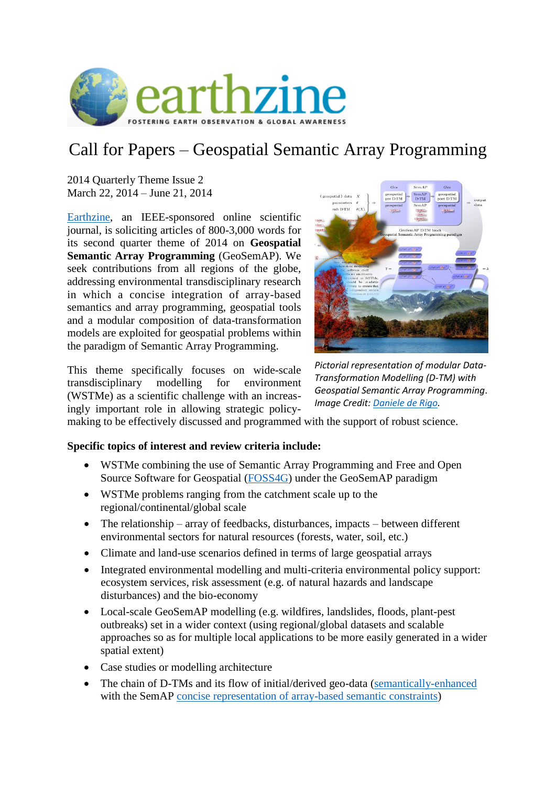

## Call for Papers – Geospatial Semantic Array Programming

2014 Quarterly Theme Issue 2 March 22, 2014 – June 21, 2014

[Earthzine,](http://www.earthzine.org/) an IEEE-sponsored online scientific journal, is soliciting articles of 800-3,000 words for its second quarter theme of 2014 on **Geospatial Semantic Array Programming** (GeoSemAP). We seek contributions from all regions of the globe, addressing environmental transdisciplinary research in which a concise integration of array-based semantics and array programming, geospatial tools and a modular composition of data-transformation models are exploited for geospatial problems within the paradigm of Semantic Array Programming.

This theme specifically focuses on wide-scale transdisciplinary modelling for environment (WSTMe) as a scientific challenge with an increasingly important role in allowing strategic policy-



*Pictorial representation of modular Data-Transformation Modelling (D-TM) with Geospatial Semantic Array Programming*. *Image Credit: [Daniele de Rigo.](http://dx.doi.org/10.6084/m9.figshare.842695)*

making to be effectively discussed and programmed with the support of robust science.

## **Specific topics of interest and review criteria include:**

- WSTMe combining the use of Semantic Array Programming and Free and Open Source Software for Geospatial [\(FOSS4G\)](http://ur1.ca/g66rf) under the GeoSemAP paradigm
- WSTMe problems ranging from the catchment scale up to the regional/continental/global scale
- The relationship array of feedbacks, disturbances, impacts between different environmental sectors for natural resources (forests, water, soil, etc.)
- Climate and land-use scenarios defined in terms of large geospatial arrays
- Integrated environmental modelling and multi-criteria environmental policy support: ecosystem services, risk assessment (e.g. of natural hazards and landscape disturbances) and the bio-economy
- Local-scale GeoSemAP modelling (e.g. wildfires, landslides, floods, plant-pest outbreaks) set in a wider context (using regional/global datasets and scalable approaches so as for multiple local applications to be more easily generated in a wider spatial extent)
- Case studies or modelling architecture
- The chain of D-TMs and its flow of initial/derived geo-data [\(semantically-enhanced](http://ur1.ca/g5ypa) with the SemAP [concise representation of array-based semantic constraints\)](http://mastrave.org/doc/mtv_m/check_is)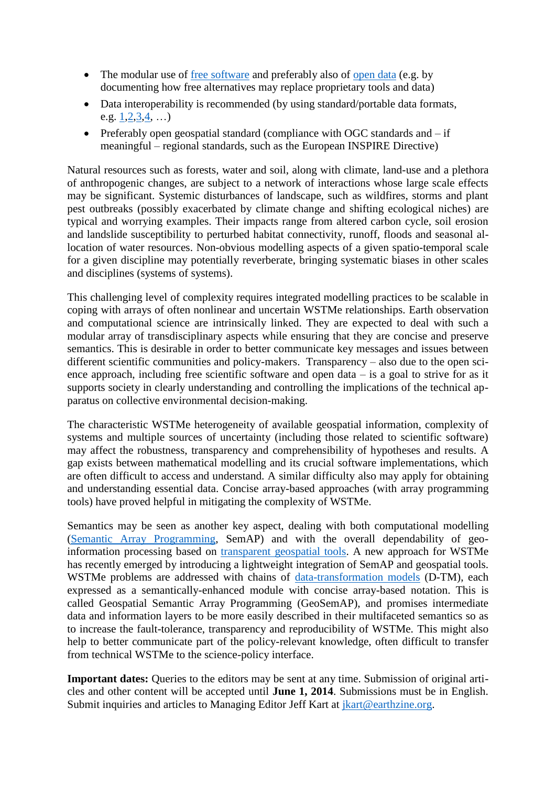- The modular use of [free software](http://scholar.google.com/scholar?cluster=17751536887456926788) and preferably also of [open data](http://dx.doi.org/10.1038/486441a) (e.g. by documenting how free alternatives may replace proprietary tools and data)
- Data interoperability is recommended (by using standard/portable data formats, e.g.  $1, 2, 3, 4, ...)$  $1, 2, 3, 4, ...)$  $1, 2, 3, 4, ...)$  $1, 2, 3, 4, ...)$  $1, 2, 3, 4, ...)$  $1, 2, 3, 4, ...)$  $1, 2, 3, 4, ...)$  $1, 2, 3, 4, ...)$
- Preferably open geospatial standard (compliance with OGC standards and  $-$  if meaningful – regional standards, such as the European INSPIRE Directive)

Natural resources such as forests, water and soil, along with climate, land-use and a plethora of anthropogenic changes, are subject to a network of interactions whose large scale effects may be significant. Systemic disturbances of landscape, such as wildfires, storms and plant pest outbreaks (possibly exacerbated by climate change and shifting ecological niches) are typical and worrying examples. Their impacts range from altered carbon cycle, soil erosion and landslide susceptibility to perturbed habitat connectivity, runoff, floods and seasonal allocation of water resources. Non-obvious modelling aspects of a given spatio-temporal scale for a given discipline may potentially reverberate, bringing systematic biases in other scales and disciplines (systems of systems).

This challenging level of complexity requires integrated modelling practices to be scalable in coping with arrays of often nonlinear and uncertain WSTMe relationships. Earth observation and computational science are intrinsically linked. They are expected to deal with such a modular array of transdisciplinary aspects while ensuring that they are concise and preserve semantics. This is desirable in order to better communicate key messages and issues between different scientific communities and policy-makers. Transparency – also due to the open science approach, including free scientific software and open data – is a goal to strive for as it supports society in clearly understanding and controlling the implications of the technical apparatus on collective environmental decision-making.

The characteristic WSTMe heterogeneity of available geospatial information, complexity of systems and multiple sources of uncertainty (including those related to scientific software) may affect the robustness, transparency and comprehensibility of hypotheses and results. A gap exists between mathematical modelling and its crucial software implementations, which are often difficult to access and understand. A similar difficulty also may apply for obtaining and understanding essential data. Concise array-based approaches (with array programming tools) have proved helpful in mitigating the complexity of WSTMe.

Semantics may be seen as another key aspect, dealing with both computational modelling [\(Semantic Array Programming,](http://ur1.ca/drk29) SemAP) and with the overall dependability of geoinformation processing based on [transparent geospatial tools.](http://ur1.ca/g552m) A new approach for WSTMe has recently emerged by introducing a lightweight integration of SemAP and geospatial tools. WSTMe problems are addressed with chains of [data-transformation models](http://ur1.ca/g552b) (D-TM), each expressed as a semantically-enhanced module with concise array-based notation. This is called Geospatial Semantic Array Programming (GeoSemAP), and promises intermediate data and information layers to be more easily described in their multifaceted semantics so as to increase the fault-tolerance, transparency and reproducibility of WSTMe. This might also help to better communicate part of the policy-relevant knowledge, often difficult to transfer from technical WSTMe to the science-policy interface.

**Important dates:** Queries to the editors may be sent at any time. Submission of original articles and other content will be accepted until **June 1, 2014**. Submissions must be in English. Submit inquiries and articles to Managing Editor Jeff Kart at [jkart@earthzine.org.](mailto:jkart@earthzine.org)